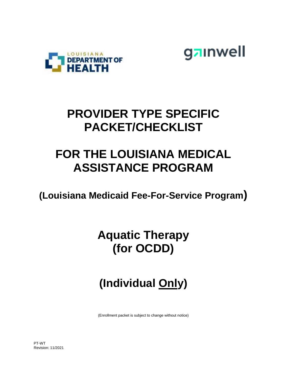



## **PROVIDER TYPE SPECIFIC PACKET/CHECKLIST**

## **FOR THE LOUISIANA MEDICAL ASSISTANCE PROGRAM**

**(Louisiana Medicaid Fee-For-Service Program)**

## **Aquatic Therapy (for OCDD)**

# **(Individual Only)**

(Enrollment packet is subject to change without notice)